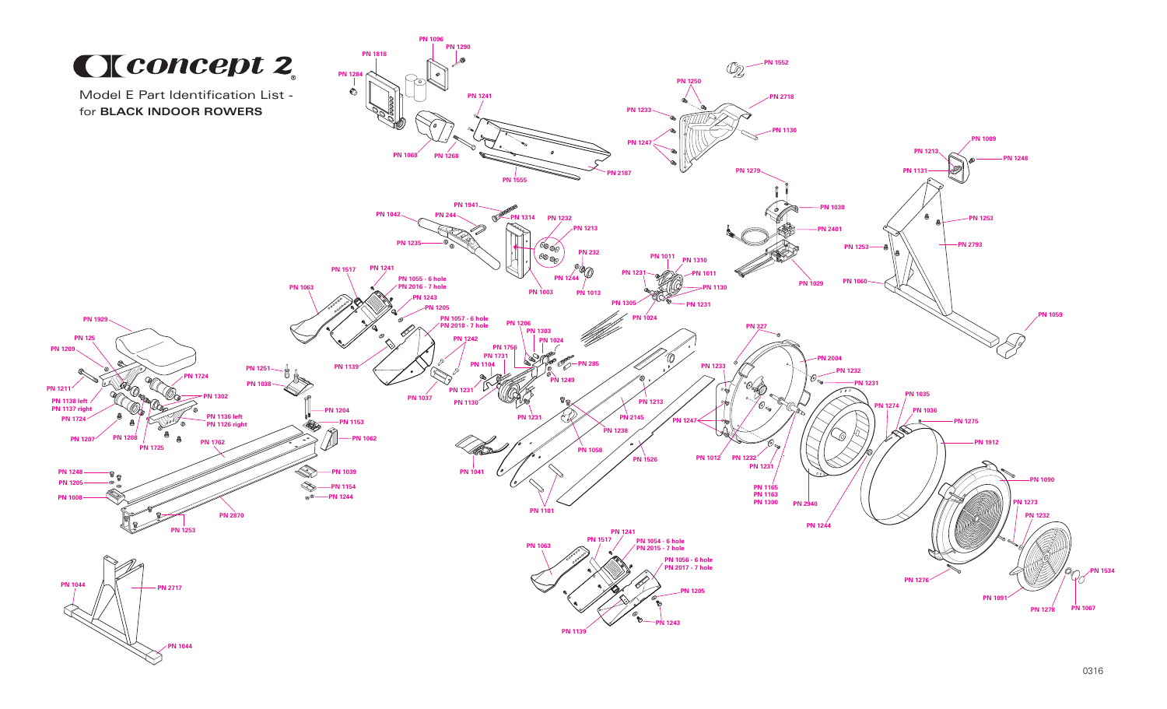